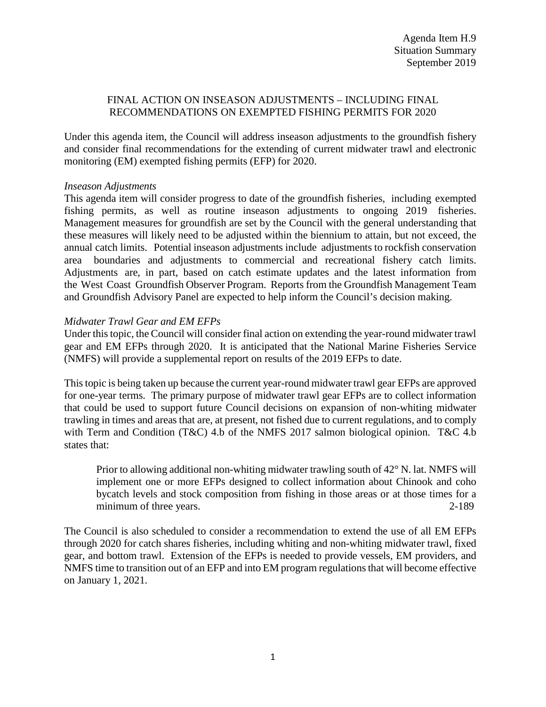# FINAL ACTION ON INSEASON ADJUSTMENTS – INCLUDING FINAL RECOMMENDATIONS ON EXEMPTED FISHING PERMITS FOR 2020

Under this agenda item, the Council will address inseason adjustments to the groundfish fishery and consider final recommendations for the extending of current midwater trawl and electronic monitoring (EM) exempted fishing permits (EFP) for 2020.

# *Inseason Adjustments*

This agenda item will consider progress to date of the groundfish fisheries, including exempted fishing permits, as well as routine inseason adjustments to ongoing 2019 fisheries. Management measures for groundfish are set by the Council with the general understanding that these measures will likely need to be adjusted within the biennium to attain, but not exceed, the annual catch limits. Potential inseason adjustments include adjustments to rockfish conservation area boundaries and adjustments to commercial and recreational fishery catch limits. Adjustments are, in part, based on catch estimate updates and the latest information from the West Coast Groundfish Observer Program. Reports from the Groundfish Management Team and Groundfish Advisory Panel are expected to help inform the Council's decision making.

# *Midwater Trawl Gear and EM EFPs*

Under this topic, the Council will consider final action on extending the year-round midwater trawl gear and EM EFPs through 2020. It is anticipated that the National Marine Fisheries Service (NMFS) will provide a supplemental report on results of the 2019 EFPs to date.

This topic is being taken up because the current year-round midwater trawl gear EFPs are approved for one-year terms. The primary purpose of midwater trawl gear EFPs are to collect information that could be used to support future Council decisions on expansion of non-whiting midwater trawling in times and areas that are, at present, not fished due to current regulations, and to comply with Term and Condition (T&C) 4.b of the NMFS 2017 salmon biological opinion. T&C 4.b states that:

Prior to allowing additional non-whiting midwater trawling south of 42° N. lat. NMFS will implement one or more EFPs designed to collect information about Chinook and coho bycatch levels and stock composition from fishing in those areas or at those times for a minimum of three years. 2-189

The Council is also scheduled to consider a recommendation to extend the use of all EM EFPs through 2020 for catch shares fisheries, including whiting and non-whiting midwater trawl, fixed gear, and bottom trawl. Extension of the EFPs is needed to provide vessels, EM providers, and NMFS time to transition out of an EFP and into EM program regulations that will become effective on January 1, 2021.